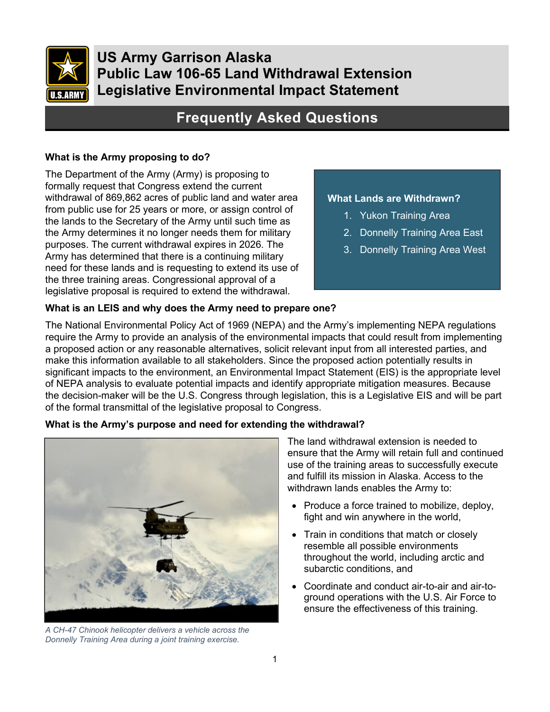

**US Army Garrison Alaska Public Law 106-65 Land Withdrawal Extension Legislative Environmental Impact Statement**

# **Frequently Asked Questions**

#### **What is the Army proposing to do?**

The Department of the Army (Army) is proposing to formally request that Congress extend the current withdrawal of 869,862 acres of public land and water area from public use for 25 years or more, or assign control of the lands to the Secretary of the Army until such time as the Army determines it no longer needs them for military purposes. The current withdrawal expires in 2026. The Army has determined that there is a continuing military need for these lands and is requesting to extend its use of the three training areas. Congressional approval of a legislative proposal is required to extend the withdrawal.

#### **What Lands are Withdrawn?**

- 1. Yukon Training Area
- 2. Donnelly Training Area East
- 3. Donnelly Training Area West

## **What is an LEIS and why does the Army need to prepare one?**

The National Environmental Policy Act of 1969 (NEPA) and the Army's implementing NEPA regulations require the Army to provide an analysis of the environmental impacts that could result from implementing a proposed action or any reasonable alternatives, solicit relevant input from all interested parties, and make this information available to all stakeholders. Since the proposed action potentially results in significant impacts to the environment, an Environmental Impact Statement (EIS) is the appropriate level of NEPA analysis to evaluate potential impacts and identify appropriate mitigation measures. Because the decision-maker will be the U.S. Congress through legislation, this is a Legislative EIS and will be part of the formal transmittal of the legislative proposal to Congress.

#### **What is the Army's purpose and need for extending the withdrawal?**



*A CH-47 Chinook helicopter delivers a vehicle across the Donnelly Training Area during a joint training exercise.*

The land withdrawal extension is needed to ensure that the Army will retain full and continued use of the training areas to successfully execute and fulfill its mission in Alaska. Access to the withdrawn lands enables the Army to:

- Produce a force trained to mobilize, deploy, fight and win anywhere in the world,
- Train in conditions that match or closely resemble all possible environments throughout the world, including arctic and subarctic conditions, and
- Coordinate and conduct air-to-air and air-toground operations with the U.S. Air Force to ensure the effectiveness of this training.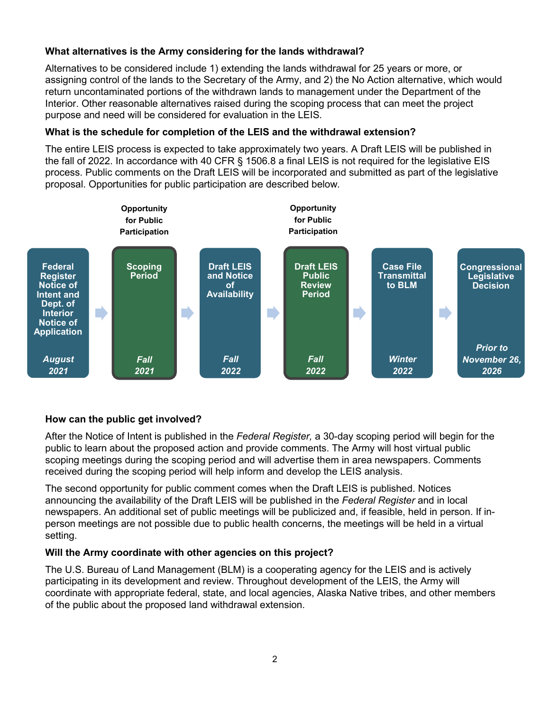## **What alternatives is the Army considering for the lands withdrawal?**

Alternatives to be considered include 1) extending the lands withdrawal for 25 years or more, or assigning control of the lands to the Secretary of the Army, and 2) the No Action alternative, which would return uncontaminated portions of the withdrawn lands to management under the Department of the Interior. Other reasonable alternatives raised during the scoping process that can meet the project purpose and need will be considered for evaluation in the LEIS.

## **What is the schedule for completion of the LEIS and the withdrawal extension?**

The entire LEIS process is expected to take approximately two years. A Draft LEIS will be published in the fall of 2022. In accordance with 40 CFR § 1506.8 a final LEIS is not required for the legislative EIS process. Public comments on the Draft LEIS will be incorporated and submitted as part of the legislative proposal. Opportunities for public participation are described below*.*



## **How can the public get involved?**

After the Notice of Intent is published in the *Federal Register,* a 30-day scoping period will begin for the public to learn about the proposed action and provide comments. The Army will host virtual public scoping meetings during the scoping period and will advertise them in area newspapers. Comments received during the scoping period will help inform and develop the LEIS analysis.

The second opportunity for public comment comes when the Draft LEIS is published. Notices announcing the availability of the Draft LEIS will be published in the *Federal Register* and in local newspapers. An additional set of public meetings will be publicized and, if feasible, held in person. If inperson meetings are not possible due to public health concerns, the meetings will be held in a virtual setting.

## **Will the Army coordinate with other agencies on this project?**

The U.S. Bureau of Land Management (BLM) is a cooperating agency for the LEIS and is actively participating in its development and review. Throughout development of the LEIS, the Army will coordinate with appropriate federal, state, and local agencies, Alaska Native tribes, and other members of the public about the proposed land withdrawal extension.